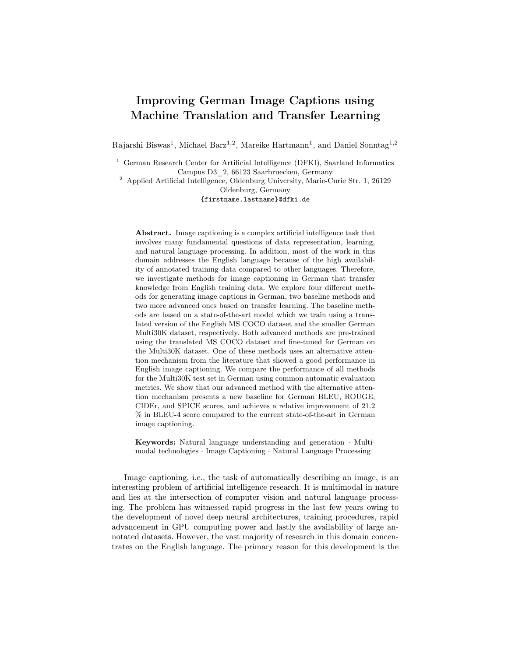# Improving German Image Captions using Machine Translation and Transfer Learning

Rajarshi Biswas<sup>1</sup>, Michael Barz<sup>1,2</sup>, Mareike Hartmann<sup>1</sup>, and Daniel Sonntag<sup>1,2</sup>

<sup>1</sup> German Research Center for Artificial Intelligence (DFKI), Saarland Informatics Campus D3\_2, 66123 Saarbruecken, Germany

<sup>2</sup> Applied Artificial Intelligence, Oldenburg University, Marie-Curie Str. 1, 26129 Oldenburg, Germany {firstname.lastname}@dfki.de

Abstract. Image captioning is a complex artificial intelligence task that involves many fundamental questions of data representation, learning, and natural language processing. In addition, most of the work in this domain addresses the English language because of the high availability of annotated training data compared to other languages. Therefore, we investigate methods for image captioning in German that transfer knowledge from English training data. We explore four different methods for generating image captions in German, two baseline methods and two more advanced ones based on transfer learning. The baseline methods are based on a state-of-the-art model which we train using a translated version of the English MS COCO dataset and the smaller German Multi30K dataset, respectively. Both advanced methods are pre-trained using the translated MS COCO dataset and fine-tuned for German on the Multi30K dataset. One of these methods uses an alternative attention mechanism from the literature that showed a good performance in English image captioning. We compare the performance of all methods for the Multi30K test set in German using common automatic evaluation metrics. We show that our advanced method with the alternative attention mechanism presents a new baseline for German BLEU, ROUGE, CIDEr, and SPICE scores, and achieves a relative improvement of 21.2 % in BLEU-4 score compared to the current state-of-the-art in German image captioning.

Keywords: Natural language understanding and generation · Multimodal technologies · Image Captioning · Natural Language Processing

Image captioning, i.e., the task of automatically describing an image, is an interesting problem of artificial intelligence research. It is multimodal in nature and lies at the intersection of computer vision and natural language processing. The problem has witnessed rapid progress in the last few years owing to the development of novel deep neural architectures, training procedures, rapid advancement in GPU computing power and lastly the availability of large annotated datasets. However, the vast majority of research in this domain concentrates on the English language. The primary reason for this development is the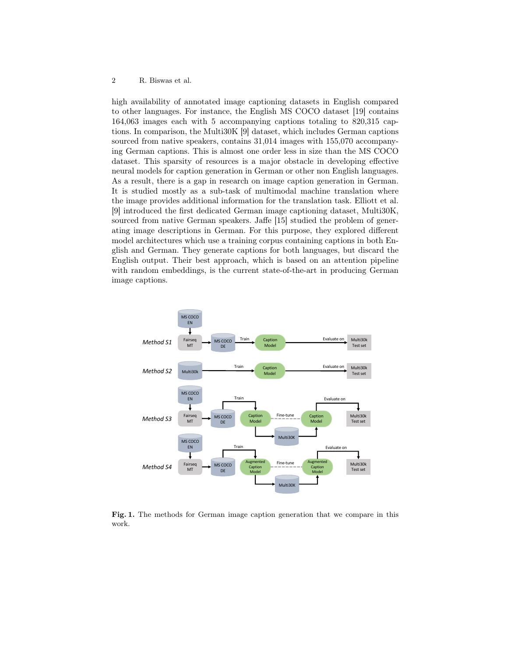### 2 R. Biswas et al.

high availability of annotated image captioning datasets in English compared to other languages. For instance, the English MS COCO dataset [19] contains 164,063 images each with 5 accompanying captions totaling to 820,315 captions. In comparison, the Multi30K [9] dataset, which includes German captions sourced from native speakers, contains 31,014 images with 155,070 accompanying German captions. This is almost one order less in size than the MS COCO dataset. This sparsity of resources is a major obstacle in developing effective neural models for caption generation in German or other non English languages. As a result, there is a gap in research on image caption generation in German. It is studied mostly as a sub-task of multimodal machine translation where the image provides additional information for the translation task. Elliott et al. [9] introduced the first dedicated German image captioning dataset, Multi30K, sourced from native German speakers. Jaffe [15] studied the problem of generating image descriptions in German. For this purpose, they explored different model architectures which use a training corpus containing captions in both English and German. They generate captions for both languages, but discard the English output. Their best approach, which is based on an attention pipeline with random embeddings, is the current state-of-the-art in producing German image captions.



Fig. 1. The methods for German image caption generation that we compare in this work.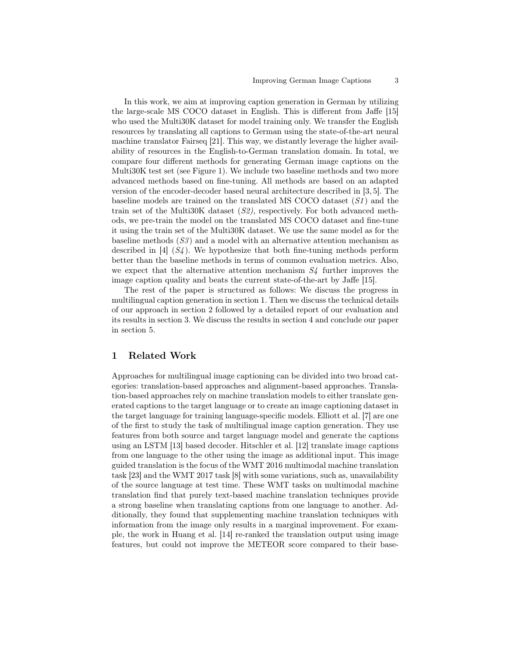In this work, we aim at improving caption generation in German by utilizing the large-scale MS COCO dataset in English. This is different from Jaffe [15] who used the Multi30K dataset for model training only. We transfer the English resources by translating all captions to German using the state-of-the-art neural machine translator Fairseq [21]. This way, we distantly leverage the higher availability of resources in the English-to-German translation domain. In total, we compare four different methods for generating German image captions on the Multi30K test set (see Figure 1). We include two baseline methods and two more advanced methods based on fine-tuning. All methods are based on an adapted version of the encoder-decoder based neural architecture described in [3, 5]. The baseline models are trained on the translated MS COCO dataset  $(S1)$  and the train set of the Multi30K dataset  $(S2)$ , respectively. For both advanced methods, we pre-train the model on the translated MS COCO dataset and fine-tune it using the train set of the Multi30K dataset. We use the same model as for the baseline methods  $(S3)$  and a model with an alternative attention mechanism as described in  $[4]$   $(S_4)$ . We hypothesize that both fine-tuning methods perform better than the baseline methods in terms of common evaluation metrics. Also, we expect that the alternative attention mechanism  $S<sub>4</sub>$  further improves the image caption quality and beats the current state-of-the-art by Jaffe [15].

The rest of the paper is structured as follows: We discuss the progress in multilingual caption generation in section 1. Then we discuss the technical details of our approach in section 2 followed by a detailed report of our evaluation and its results in section 3. We discuss the results in section 4 and conclude our paper in section 5.

# 1 Related Work

Approaches for multilingual image captioning can be divided into two broad categories: translation-based approaches and alignment-based approaches. Translation-based approaches rely on machine translation models to either translate generated captions to the target language or to create an image captioning dataset in the target language for training language-specific models. Elliott et al. [7] are one of the first to study the task of multilingual image caption generation. They use features from both source and target language model and generate the captions using an LSTM [13] based decoder. Hitschler et al. [12] translate image captions from one language to the other using the image as additional input. This image guided translation is the focus of the WMT 2016 multimodal machine translation task [23] and the WMT 2017 task [8] with some variations, such as, unavailability of the source language at test time. These WMT tasks on multimodal machine translation find that purely text-based machine translation techniques provide a strong baseline when translating captions from one language to another. Additionally, they found that supplementing machine translation techniques with information from the image only results in a marginal improvement. For example, the work in Huang et al. [14] re-ranked the translation output using image features, but could not improve the METEOR score compared to their base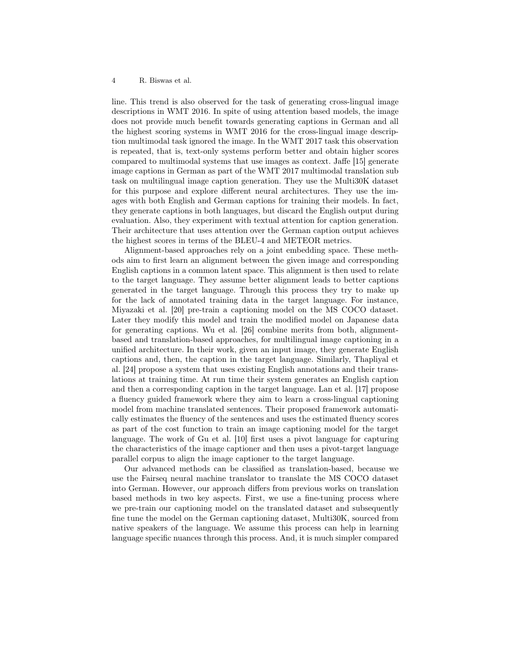line. This trend is also observed for the task of generating cross-lingual image descriptions in WMT 2016. In spite of using attention based models, the image does not provide much benefit towards generating captions in German and all the highest scoring systems in WMT 2016 for the cross-lingual image description multimodal task ignored the image. In the WMT 2017 task this observation is repeated, that is, text-only systems perform better and obtain higher scores compared to multimodal systems that use images as context. Jaffe [15] generate image captions in German as part of the WMT 2017 multimodal translation sub task on multilingual image caption generation. They use the Multi30K dataset for this purpose and explore different neural architectures. They use the images with both English and German captions for training their models. In fact, they generate captions in both languages, but discard the English output during evaluation. Also, they experiment with textual attention for caption generation. Their architecture that uses attention over the German caption output achieves the highest scores in terms of the BLEU-4 and METEOR metrics.

Alignment-based approaches rely on a joint embedding space. These methods aim to first learn an alignment between the given image and corresponding English captions in a common latent space. This alignment is then used to relate to the target language. They assume better alignment leads to better captions generated in the target language. Through this process they try to make up for the lack of annotated training data in the target language. For instance, Miyazaki et al. [20] pre-train a captioning model on the MS COCO dataset. Later they modify this model and train the modified model on Japanese data for generating captions. Wu et al. [26] combine merits from both, alignmentbased and translation-based approaches, for multilingual image captioning in a unified architecture. In their work, given an input image, they generate English captions and, then, the caption in the target language. Similarly, Thapliyal et al. [24] propose a system that uses existing English annotations and their translations at training time. At run time their system generates an English caption and then a corresponding caption in the target language. Lan et al. [17] propose a fluency guided framework where they aim to learn a cross-lingual captioning model from machine translated sentences. Their proposed framework automatically estimates the fluency of the sentences and uses the estimated fluency scores as part of the cost function to train an image captioning model for the target language. The work of Gu et al. [10] first uses a pivot language for capturing the characteristics of the image captioner and then uses a pivot-target language parallel corpus to align the image captioner to the target language.

Our advanced methods can be classified as translation-based, because we use the Fairseq neural machine translator to translate the MS COCO dataset into German. However, our approach differs from previous works on translation based methods in two key aspects. First, we use a fine-tuning process where we pre-train our captioning model on the translated dataset and subsequently fine tune the model on the German captioning dataset, Multi30K, sourced from native speakers of the language. We assume this process can help in learning language specific nuances through this process. And, it is much simpler compared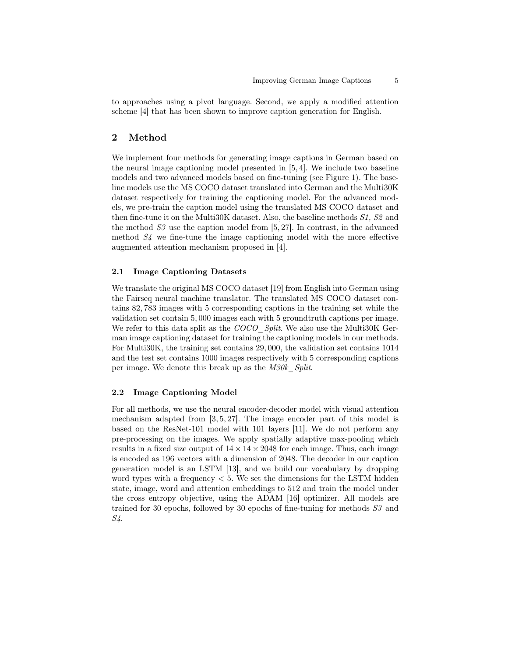to approaches using a pivot language. Second, we apply a modified attention scheme [4] that has been shown to improve caption generation for English.

# 2 Method

We implement four methods for generating image captions in German based on the neural image captioning model presented in [5, 4]. We include two baseline models and two advanced models based on fine-tuning (see Figure 1). The baseline models use the MS COCO dataset translated into German and the Multi30K dataset respectively for training the captioning model. For the advanced models, we pre-train the caption model using the translated MS COCO dataset and then fine-tune it on the Multi30K dataset. Also, the baseline methods S1, S2 and the method  $S3$  use the caption model from [5, 27]. In contrast, in the advanced method  $S<sub>4</sub>$  we fine-tune the image captioning model with the more effective augmented attention mechanism proposed in [4].

### 2.1 Image Captioning Datasets

We translate the original MS COCO dataset [19] from English into German using the Fairseq neural machine translator. The translated MS COCO dataset contains 82, 783 images with 5 corresponding captions in the training set while the validation set contain 5, 000 images each with 5 groundtruth captions per image. We refer to this data split as the COCO Split. We also use the Multi30K German image captioning dataset for training the captioning models in our methods. For Multi30K, the training set contains 29, 000, the validation set contains 1014 and the test set contains 1000 images respectively with 5 corresponding captions per image. We denote this break up as the M30k\_Split.

### 2.2 Image Captioning Model

For all methods, we use the neural encoder-decoder model with visual attention mechanism adapted from  $[3, 5, 27]$ . The image encoder part of this model is based on the ResNet-101 model with 101 layers [11]. We do not perform any pre-processing on the images. We apply spatially adaptive max-pooling which results in a fixed size output of  $14 \times 14 \times 2048$  for each image. Thus, each image is encoded as 196 vectors with a dimension of 2048. The decoder in our caption generation model is an LSTM [13], and we build our vocabulary by dropping word types with a frequency  $< 5$ . We set the dimensions for the LSTM hidden state, image, word and attention embeddings to 512 and train the model under the cross entropy objective, using the ADAM [16] optimizer. All models are trained for 30 epochs, followed by 30 epochs of fine-tuning for methods S3 and S4.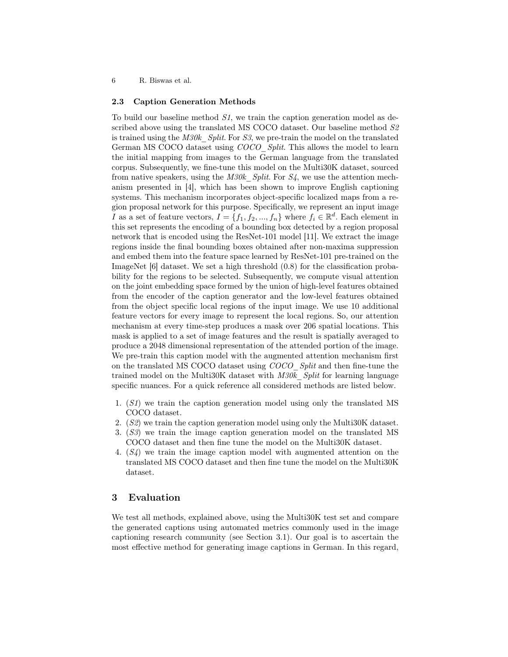6 R. Biswas et al.

### 2.3 Caption Generation Methods

To build our baseline method S1, we train the caption generation model as described above using the translated MS COCO dataset. Our baseline method  $S2$ is trained using the  $M30k$  Split. For S3, we pre-train the model on the translated German MS COCO dataset using *COCO* Split. This allows the model to learn the initial mapping from images to the German language from the translated corpus. Subsequently, we fine-tune this model on the Multi30K dataset, sourced from native speakers, using the  $M30k$  Split. For S4, we use the attention mechanism presented in [4], which has been shown to improve English captioning systems. This mechanism incorporates object-specific localized maps from a region proposal network for this purpose. Specifically, we represent an input image I as a set of feature vectors,  $I = \{f_1, f_2, ..., f_n\}$  where  $f_i \in \mathbb{R}^d$ . Each element in this set represents the encoding of a bounding box detected by a region proposal network that is encoded using the ResNet-101 model [11]. We extract the image regions inside the final bounding boxes obtained after non-maxima suppression and embed them into the feature space learned by ResNet-101 pre-trained on the ImageNet [6] dataset. We set a high threshold (0.8) for the classification probability for the regions to be selected. Subsequently, we compute visual attention on the joint embedding space formed by the union of high-level features obtained from the encoder of the caption generator and the low-level features obtained from the object specific local regions of the input image. We use 10 additional feature vectors for every image to represent the local regions. So, our attention mechanism at every time-step produces a mask over 206 spatial locations. This mask is applied to a set of image features and the result is spatially averaged to produce a 2048 dimensional representation of the attended portion of the image. We pre-train this caption model with the augmented attention mechanism first on the translated MS COCO dataset using COCO\_Split and then fine-tune the trained model on the Multi30K dataset with  $M30k$  Split for learning language specific nuances. For a quick reference all considered methods are listed below.

- 1. (S1) we train the caption generation model using only the translated MS COCO dataset.
- 2. (S2) we train the caption generation model using only the Multi30K dataset.
- 3. (S3) we train the image caption generation model on the translated MS COCO dataset and then fine tune the model on the Multi30K dataset.
- 4. (S4) we train the image caption model with augmented attention on the translated MS COCO dataset and then fine tune the model on the Multi30K dataset.

### 3 Evaluation

We test all methods, explained above, using the Multi30K test set and compare the generated captions using automated metrics commonly used in the image captioning research community (see Section 3.1). Our goal is to ascertain the most effective method for generating image captions in German. In this regard,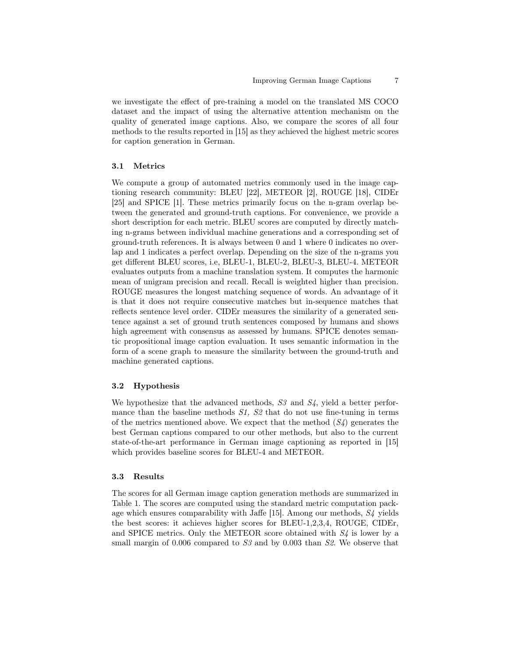we investigate the effect of pre-training a model on the translated MS COCO dataset and the impact of using the alternative attention mechanism on the quality of generated image captions. Also, we compare the scores of all four methods to the results reported in [15] as they achieved the highest metric scores for caption generation in German.

#### 3.1 Metrics

We compute a group of automated metrics commonly used in the image captioning research community: BLEU [22], METEOR [2], ROUGE [18], CIDEr [25] and SPICE [1]. These metrics primarily focus on the n-gram overlap between the generated and ground-truth captions. For convenience, we provide a short description for each metric. BLEU scores are computed by directly matching n-grams between individual machine generations and a corresponding set of ground-truth references. It is always between 0 and 1 where 0 indicates no overlap and 1 indicates a perfect overlap. Depending on the size of the n-grams you get different BLEU scores, i.e, BLEU-1, BLEU-2, BLEU-3, BLEU-4. METEOR evaluates outputs from a machine translation system. It computes the harmonic mean of unigram precision and recall. Recall is weighted higher than precision. ROUGE measures the longest matching sequence of words. An advantage of it is that it does not require consecutive matches but in-sequence matches that reflects sentence level order. CIDEr measures the similarity of a generated sentence against a set of ground truth sentences composed by humans and shows high agreement with consensus as assessed by humans. SPICE denotes semantic propositional image caption evaluation. It uses semantic information in the form of a scene graph to measure the similarity between the ground-truth and machine generated captions.

### 3.2 Hypothesis

We hypothesize that the advanced methods,  $S_3$  and  $S_4$ , yield a better performance than the baseline methods  $S1$ ,  $S2$  that do not use fine-tuning in terms of the metrics mentioned above. We expect that the method  $(S_4)$  generates the best German captions compared to our other methods, but also to the current state-of-the-art performance in German image captioning as reported in [15] which provides baseline scores for BLEU-4 and METEOR.

#### 3.3 Results

The scores for all German image caption generation methods are summarized in Table 1. The scores are computed using the standard metric computation package which ensures comparability with Jaffe [15]. Among our methods, S4 yields the best scores: it achieves higher scores for BLEU-1,2,3,4, ROUGE, CIDEr, and SPICE metrics. Only the METEOR score obtained with  $S<sub>4</sub>$  is lower by a small margin of 0.006 compared to  $S3$  and by 0.003 than  $S2$ . We observe that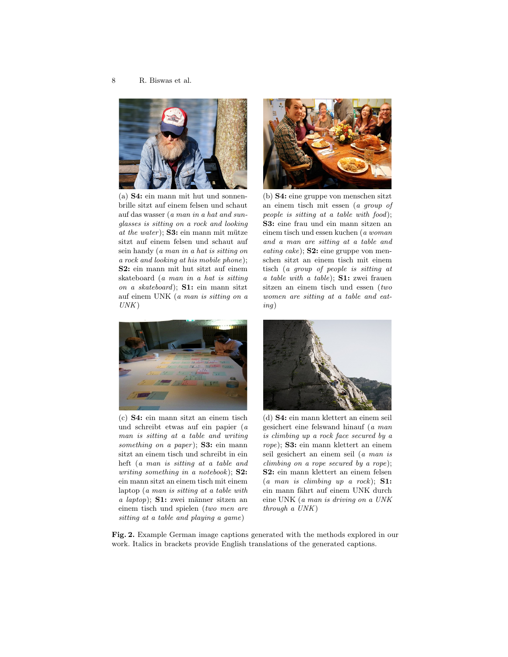

(a) S4: ein mann mit hut und sonnenbrille sitzt auf einem felsen und schaut auf das wasser (a man in a hat and sunglasses is sitting on a rock and looking at the water);  $S3:$  ein mann mit mütze sitzt auf einem felsen und schaut auf sein handy (a man in a hat is sitting on a rock and looking at his mobile phone); S2: ein mann mit hut sitzt auf einem skateboard (a man in a hat is sitting on a skateboard); S1: ein mann sitzt auf einem UNK (a man is sitting on a  $UNK)$ 



(b) S4: eine gruppe von menschen sitzt an einem tisch mit essen (a group of people is sitting at a table with food); S3: eine frau und ein mann sitzen an einem tisch und essen kuchen (a woman and a man are sitting at a table and  $eating\ cake);$  S2: eine gruppe von menschen sitzt an einem tisch mit einem tisch (a group of people is sitting at a table with a table); S1: zwei frauen sitzen an einem tisch und essen (two women are sitting at a table and eating)



(c) S4: ein mann sitzt an einem tisch und schreibt etwas auf ein papier (a man is sitting at a table and writing something on a paper);  $S3:$  ein mann sitzt an einem tisch und schreibt in ein heft (a man is sitting at a table and writing something in a notebook); **S2:** ein mann sitzt an einem tisch mit einem laptop (a man is sitting at a table with a laptop); S1: zwei männer sitzen an einem tisch und spielen (two men are sitting at a table and playing a game)



(d) S4: ein mann klettert an einem seil gesichert eine felswand hinauf (a man is climbing up a rock face secured by a rope); S3: ein mann klettert an einem seil gesichert an einem seil (a man is climbing on a rope secured by a rope); S2: ein mann klettert an einem felsen  $(a \text{ man is climbing up a rock});$  **S1:** ein mann fährt auf einem UNK durch eine UNK (a man is driving on a UNK through a UNK)

Fig. 2. Example German image captions generated with the methods explored in our work. Italics in brackets provide English translations of the generated captions.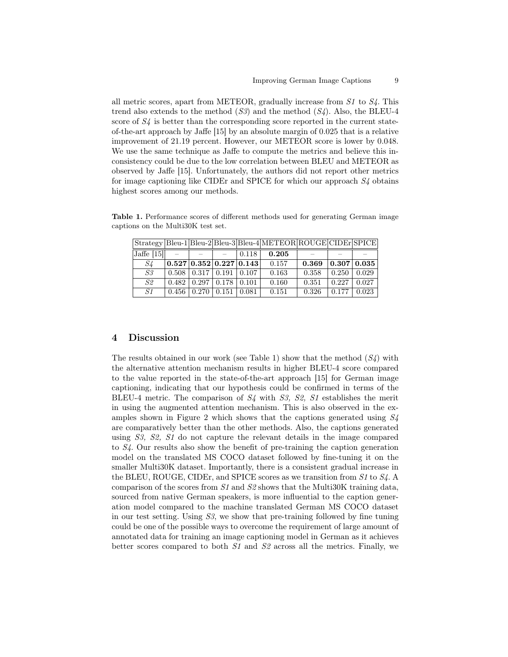all metric scores, apart from METEOR, gradually increase from  $S1$  to  $S4$ . This trend also extends to the method  $(S3)$  and the method  $(S4)$ . Also, the BLEU-4 score of  $S<sub>4</sub>$  is better than the corresponding score reported in the current stateof-the-art approach by Jaffe [15] by an absolute margin of 0.025 that is a relative improvement of 21.19 percent. However, our METEOR score is lower by 0.048. We use the same technique as Jaffe to compute the metrics and believe this inconsistency could be due to the low correlation between BLEU and METEOR as observed by Jaffe [15]. Unfortunately, the authors did not report other metrics for image captioning like CIDEr and SPICE for which our approach  $S<sub>4</sub>$  obtains highest scores among our methods.

captions on the Multi30K test set.  $\Omega$ 

Table 1. Performance scores of different methods used for generating German image

|              |                                                         |                                |                                          |       | Strategy Bleu-1 Bleu-2 Bleu-3 Bleu-4 METEOR ROUGE CIDEr SPICE |       |             |       |
|--------------|---------------------------------------------------------|--------------------------------|------------------------------------------|-------|---------------------------------------------------------------|-------|-------------|-------|
| Jaffe $[15]$ |                                                         | <b>Contract Contract State</b> |                                          | 0.118 | 0.205                                                         |       |             |       |
| S4           | $\vert 0.527 \vert 0.352 \vert 0.227 \vert 0.143 \vert$ |                                |                                          |       | 0.157                                                         | 0.369 | 0.307 0.035 |       |
| S3           | $\vert 0.508 \vert 0.317 \vert 0.191 \vert 0.107$       |                                |                                          |       | 0.163                                                         | 0.358 | 0.250       | 0.029 |
| S2           |                                                         |                                | $0.482 \mid 0.297 \mid 0.178 \mid 0.101$ |       | 0.160                                                         | 0.351 | 0.227       | 0.027 |
| S1           |                                                         |                                | $0.456 \mid 0.270 \mid 0.151 \mid 0.081$ |       | 0.151                                                         | 0.326 | 0.177       | 0.023 |

# 4 Discussion

The results obtained in our work (see Table 1) show that the method  $(S4)$  with the alternative attention mechanism results in higher BLEU-4 score compared to the value reported in the state-of-the-art approach [15] for German image captioning, indicating that our hypothesis could be confirmed in terms of the BLEU-4 metric. The comparison of  $S_4$  with  $S_3$ ,  $S_2$ ,  $S_1$  establishes the merit in using the augmented attention mechanism. This is also observed in the examples shown in Figure 2 which shows that the captions generated using  $S<sub>4</sub>$ are comparatively better than the other methods. Also, the captions generated using S3, S2, S1 do not capture the relevant details in the image compared to S4. Our results also show the benefit of pre-training the caption generation model on the translated MS COCO dataset followed by fine-tuning it on the smaller Multi30K dataset. Importantly, there is a consistent gradual increase in the BLEU, ROUGE, CIDEr, and SPICE scores as we transition from S1 to S4. A comparison of the scores from S1 and S2 shows that the Multi30K training data, sourced from native German speakers, is more influential to the caption generation model compared to the machine translated German MS COCO dataset in our test setting. Using S3, we show that pre-training followed by fine tuning could be one of the possible ways to overcome the requirement of large amount of annotated data for training an image captioning model in German as it achieves better scores compared to both S1 and S2 across all the metrics. Finally, we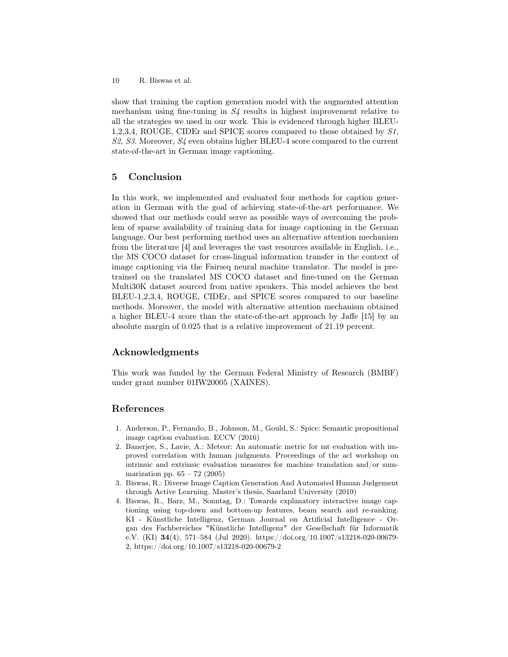10 R. Biswas et al.

show that training the caption generation model with the augmented attention mechanism using fine-tuning in  $S<sub>4</sub>$  results in highest improvement relative to all the strategies we used in our work. This is evidenced through higher BLEU-1,2,3,4, ROUGE, CIDEr and SPICE scores compared to those obtained by S1, S2, S3. Moreover, S4 even obtains higher BLEU-4 score compared to the current state-of-the-art in German image captioning.

# 5 Conclusion

In this work, we implemented and evaluated four methods for caption generation in German with the goal of achieving state-of-the-art performance. We showed that our methods could serve as possible ways of overcoming the problem of sparse availability of training data for image captioning in the German language. Our best performing method uses an alternative attention mechanism from the literature [4] and leverages the vast resources available in English, i.e., the MS COCO dataset for cross-lingual information transfer in the context of image captioning via the Fairseq neural machine translator. The model is pretrained on the translated MS COCO dataset and fine-tuned on the German Multi30K dataset sourced from native speakers. This model achieves the best BLEU-1,2,3,4, ROUGE, CIDEr, and SPICE scores compared to our baseline methods. Moreover, the model with alternative attention mechanism obtained a higher BLEU-4 score than the state-of-the-art approach by Jaffe [15] by an absolute margin of 0.025 that is a relative improvement of 21.19 percent.

# Acknowledgments

This work was funded by the German Federal Ministry of Research (BMBF) under grant number 01IW20005 (XAINES).

## References

- 1. Anderson, P., Fernando, B., Johnson, M., Gould, S.: Spice: Semantic propositional image caption evaluation. ECCV (2016)
- 2. Banerjee, S., Lavie, A.: Meteor: An automatic metric for mt evaluation with improved correlation with human judgments. Proceedings of the acl workshop on intrinsic and extrinsic evaluation measures for machine translation and/or summarization pp.  $65 - 72$  (2005)
- 3. Biswas, R.: Diverse Image Caption Generation And Automated Human Judgement through Active Learning. Master's thesis, Saarland University (2019)
- 4. Biswas, R., Barz, M., Sonntag, D.: Towards explanatory interactive image captioning using top-down and bottom-up features, beam search and re-ranking. KI - Künstliche Intelligenz, German Journal on Artificial Intelligence - Organ des Fachbereiches "Künstliche Intelligenz" der Gesellschaft für Informatik e.V. (KI) 34(4), 571–584 (Jul 2020). https://doi.org/10.1007/s13218-020-00679- 2, https://doi.org/10.1007/s13218-020-00679-2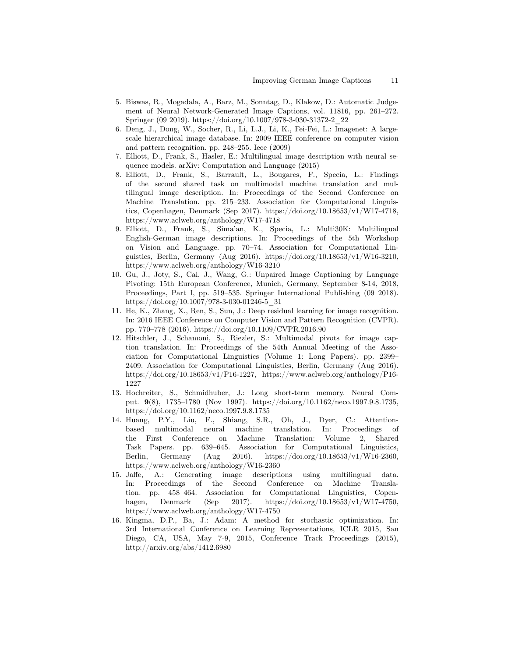- 5. Biswas, R., Mogadala, A., Barz, M., Sonntag, D., Klakow, D.: Automatic Judgement of Neural Network-Generated Image Captions, vol. 11816, pp. 261–272. Springer (09 2019). https://doi.org/10.1007/978-3-030-31372-2\_22
- 6. Deng, J., Dong, W., Socher, R., Li, L.J., Li, K., Fei-Fei, L.: Imagenet: A largescale hierarchical image database. In: 2009 IEEE conference on computer vision and pattern recognition. pp. 248–255. Ieee (2009)
- 7. Elliott, D., Frank, S., Hasler, E.: Multilingual image description with neural sequence models. arXiv: Computation and Language (2015)
- 8. Elliott, D., Frank, S., Barrault, L., Bougares, F., Specia, L.: Findings of the second shared task on multimodal machine translation and multilingual image description. In: Proceedings of the Second Conference on Machine Translation. pp. 215–233. Association for Computational Linguistics, Copenhagen, Denmark (Sep 2017). https://doi.org/10.18653/v1/W17-4718, https://www.aclweb.org/anthology/W17-4718
- 9. Elliott, D., Frank, S., Sima'an, K., Specia, L.: Multi30K: Multilingual English-German image descriptions. In: Proceedings of the 5th Workshop on Vision and Language. pp. 70–74. Association for Computational Linguistics, Berlin, Germany (Aug 2016). https://doi.org/10.18653/v1/W16-3210, https://www.aclweb.org/anthology/W16-3210
- 10. Gu, J., Joty, S., Cai, J., Wang, G.: Unpaired Image Captioning by Language Pivoting: 15th European Conference, Munich, Germany, September 8-14, 2018, Proceedings, Part I, pp. 519–535. Springer International Publishing (09 2018). https://doi.org/10.1007/978-3-030-01246-5\_31
- 11. He, K., Zhang, X., Ren, S., Sun, J.: Deep residual learning for image recognition. In: 2016 IEEE Conference on Computer Vision and Pattern Recognition (CVPR). pp. 770–778 (2016). https://doi.org/10.1109/CVPR.2016.90
- 12. Hitschler, J., Schamoni, S., Riezler, S.: Multimodal pivots for image caption translation. In: Proceedings of the 54th Annual Meeting of the Association for Computational Linguistics (Volume 1: Long Papers). pp. 2399– 2409. Association for Computational Linguistics, Berlin, Germany (Aug 2016). https://doi.org/10.18653/v1/P16-1227, https://www.aclweb.org/anthology/P16- 1227
- 13. Hochreiter, S., Schmidhuber, J.: Long short-term memory. Neural Comput. 9(8), 1735–1780 (Nov 1997). https://doi.org/10.1162/neco.1997.9.8.1735, https://doi.org/10.1162/neco.1997.9.8.1735
- 14. Huang, P.Y., Liu, F., Shiang, S.R., Oh, J., Dyer, C.: Attentionbased multimodal neural machine translation. In: Proceedings of the First Conference on Machine Translation: Volume 2, Shared Task Papers. pp. 639–645. Association for Computational Linguistics, Berlin, Germany (Aug 2016). https://doi.org/10.18653/v1/W16-2360, https://www.aclweb.org/anthology/W16-2360
- 15. Jaffe, A.: Generating image descriptions using multilingual data. In: Proceedings of the Second Conference on Machine Translation. pp. 458–464. Association for Computational Linguistics, Copenhagen, Denmark (Sep 2017). https://doi.org/10.18653/v1/W17-4750, https://www.aclweb.org/anthology/W17-4750
- 16. Kingma, D.P., Ba, J.: Adam: A method for stochastic optimization. In: 3rd International Conference on Learning Representations, ICLR 2015, San Diego, CA, USA, May 7-9, 2015, Conference Track Proceedings (2015), http://arxiv.org/abs/1412.6980